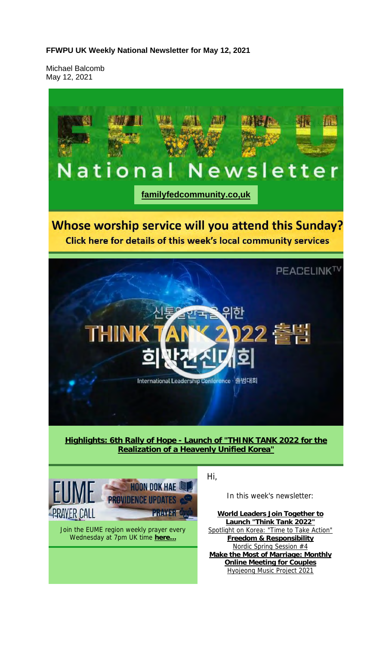#### **FFWPU UK Weekly National Newsletter for May 12, 2021**

Michael Balcomb May 12, 2021

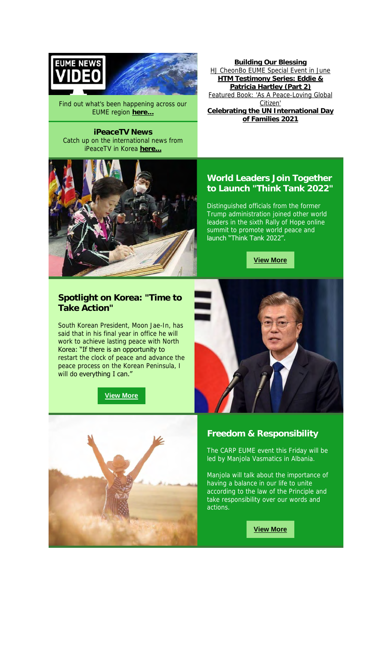



Find out what's been happening across our EUME region **here...**

**iPeaceTV News** Catch up on the international news from iPeaceTV in Korea **here...**



**Building Our Blessing** HJ CheonBo EUME Special Event in June **HTM Testimony Series: Eddie & Patricia Hartley (Part 2)** Featured Book: 'As A Peace-Loving Global Citizen' **Celebrating the UN International Day of Families 2021**

#### **World Leaders Join Together to Launch "Think Tank 2022"**

Distinguished officials from the former Trump administration joined other world leaders in the sixth Rally of Hope online summit to promote world peace and launch "Think Tank 2022".

**View More**

#### **Spotlight on Korea: "Time to Take Action"**

South Korean President, Moon Jae-In, has said that in his final year in office he will work to achieve lasting peace with North Korea: "If there is an opportunity to restart the clock of peace and advance the peace process on the Korean Peninsula, I will do everything I can."







The CARP EUME event this Friday will be led by Manjola Vasmatics in Albania.

Manjola will talk about the importance of having a balance in our life to unite according to the law of the Principle and take responsibility over our words and actions.

**View More**

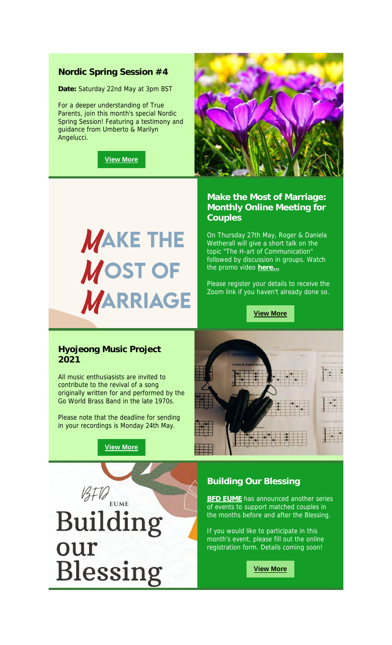#### **Nordic Spring Session #4**

**Date:** Saturday 22nd May at 3pm BST

For a deeper understanding of True Parents, join this month's special Nordic Spring Session! Featuring a testimony and guidance from Umberto & Marilyn Angelucci.

**View More**



# **MAKE THE MOST OF MARRIAGE**

**Make the Most of Marriage: Monthly Online Meeting for Couples**

On Thursday 27th May, Roger & Daniela Wetherall will give a short talk on the topic "The H-art of Communication" followed by discussion in groups. Watch the promo video **here...**

Please register your details to receive the Zoom link if you haven't already done so.

**View More**

#### **Hyojeong Music Project 2021**

All music enthusiasists are invited to contribute to the revival of a song originally written for and performed by the Go World Brass Band in the late 1970s.

Please note that the deadline for sending in your recordings is Monday 24th May.

**View More**

 $BFD_{EUME}$ 

**Building** 

Blessing

our



#### **Building Our Blessing**

**BFD EUME** has announced another series of events to support matched couples in the months before and after the Blessing.

If you would like to participate in this month's event, please fill out the online registration form. Details coming soon!

**View More**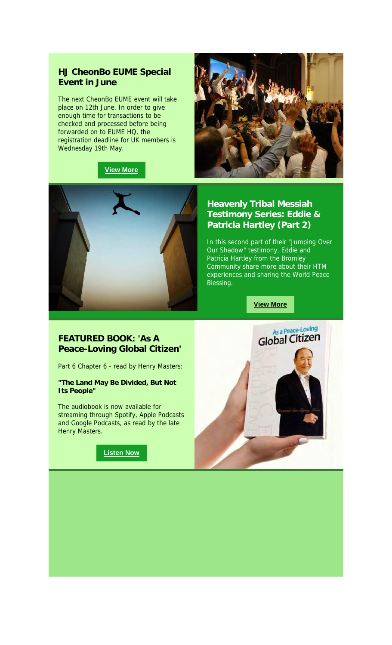#### **HJ CheonBo EUME Special Event in June**

The next CheonBo EUME event will take place on 12th June. In order to give enough time for transactions to be checked and processed before being forwarded on to EUME HQ, the registration deadline for UK members is Wednesday 19th May.







**Heavenly Tribal Messiah Testimony Series: Eddie & Patricia Hartley (Part 2)**

In this second part of their "Jumping Over Our Shadow" testimony, Eddie and Patricia Hartley from the Bromley Community share more about their HTM experiences and sharing the World Peace Blessing.

**View More**

#### **FEATURED BOOK: 'As A Peace-Loving Global Citizen'**

Part 6 Chapter 6 - read by Henry Masters:

**"The Land May Be Divided, But Not Its People"**

The audiobook is now available for streaming through Spotify, Apple Podcasts and Google Podcasts, as read by the late Henry Masters.



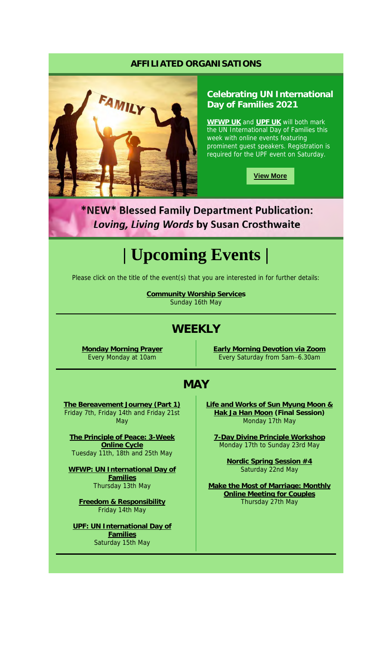#### **AFFILIATED ORGANISATIONS**



#### **Celebrating UN International Day of Families 2021**

**WFWP UK** and **UPF UK** will both mark the UN International Day of Families this week with online events featuring prominent guest speakers. Registration is required for the UPF event on Saturday.

**View More**

\*NEW\* Blessed Family Department Publication: Loving, Living Words by Susan Crosthwaite

# **| Upcoming Events |**

Please click on the title of the event(s) that you are interested in for further details:

**Community Worship Services** Sunday 16th May

## **WEEKLY**

**Monday Morning Prayer** Every Monday at 10am

**Early Morning Devotion via Zoom** Every Saturday from 5am–6.30am

### **MAY**

**The Bereavement Journey (Part 1)** Friday 7th, Friday 14th and Friday 21st **May** 

**The Principle of Peace: 3-Week Online Cycle** Tuesday 11th, 18th and 25th May

**WFWP: UN International Day of Families** Thursday 13th May

**Freedom & Responsibility** Friday 14th May

**UPF: UN International Day of Families** Saturday 15th May

**Life and Works of Sun Myung Moon & Hak Ja Han Moon (Final Session)** Monday 17th May

**7-Day Divine Principle Workshop** Monday 17th to Sunday 23rd May

> **Nordic Spring Session #4** Saturday 22nd May

**Make the Most of Marriage: Monthly Online Meeting for Couples** Thursday 27th May